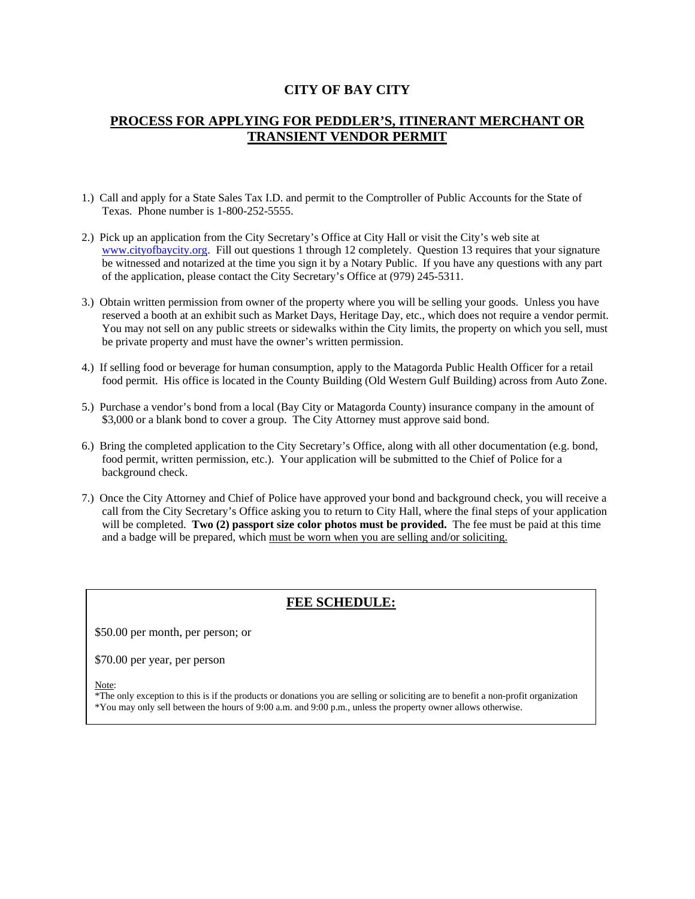#### **CITY OF BAY CITY**

### **PROCESS FOR APPLYING FOR PEDDLER'S, ITINERANT MERCHANT OR TRANSIENT VENDOR PERMIT**

- 1.) Call and apply for a State Sales Tax I.D. and permit to the Comptroller of Public Accounts for the State of Texas. Phone number is 1-800-252-5555.
- 2.) Pick up an application from the City Secretary's Office at City Hall or visit the City's web site at www.cityofbaycity.org. Fill out questions 1 through 12 completely. Question 13 requires that your signature be witnessed and notarized at the time you sign it by a Notary Public. If you have any questions with any part of the application, please contact the City Secretary's Office at (979) 245-5311.
- 3.) Obtain written permission from owner of the property where you will be selling your goods. Unless you have reserved a booth at an exhibit such as Market Days, Heritage Day, etc., which does not require a vendor permit. You may not sell on any public streets or sidewalks within the City limits, the property on which you sell, must be private property and must have the owner's written permission.
- 4.) If selling food or beverage for human consumption, apply to the Matagorda Public Health Officer for a retail food permit. His office is located in the County Building (Old Western Gulf Building) across from Auto Zone.
- 5.) Purchase a vendor's bond from a local (Bay City or Matagorda County) insurance company in the amount of \$3,000 or a blank bond to cover a group. The City Attorney must approve said bond.
- 6.) Bring the completed application to the City Secretary's Office, along with all other documentation (e.g. bond, food permit, written permission, etc.). Your application will be submitted to the Chief of Police for a background check.
- 7.) Once the City Attorney and Chief of Police have approved your bond and background check, you will receive a call from the City Secretary's Office asking you to return to City Hall, where the final steps of your application will be completed. **Two (2) passport size color photos must be provided.** The fee must be paid at this time and a badge will be prepared, which must be worn when you are selling and/or soliciting.

#### **FEE SCHEDULE:**

\$50.00 per month, per person; or

\$70.00 per year, per person

Note:

\*The only exception to this is if the products or donations you are selling or soliciting are to benefit a non-profit organization \*You may only sell between the hours of 9:00 a.m. and 9:00 p.m., unless the property owner allows otherwise.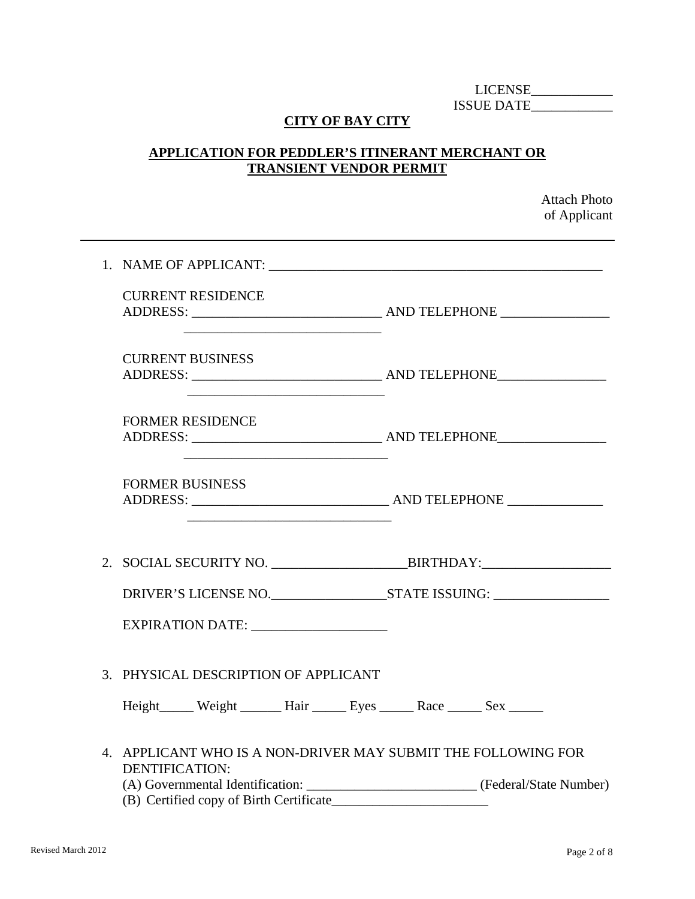LICENSE\_\_\_\_\_\_\_\_\_\_\_\_ ISSUE DATE\_\_\_\_\_\_\_\_\_\_\_\_

# **CITY OF BAY CITY**

# **APPLICATION FOR PEDDLER'S ITINERANT MERCHANT OR TRANSIENT VENDOR PERMIT**

Attach Photo of Applicant

| <b>CURRENT RESIDENCE</b>                                                                                                                       |                                                                                            |
|------------------------------------------------------------------------------------------------------------------------------------------------|--------------------------------------------------------------------------------------------|
| <b>CURRENT BUSINESS</b>                                                                                                                        |                                                                                            |
| <u> 1989 - Johann Barbara, martxa alemaniar argumento estas alemaniar alemaniar alemaniar alemaniar alemaniar a</u><br><b>FORMER RESIDENCE</b> |                                                                                            |
| <u> 2008 - Jan Barnett, fransk politik (d. 1888)</u><br><b>FORMER BUSINESS</b>                                                                 |                                                                                            |
|                                                                                                                                                |                                                                                            |
|                                                                                                                                                |                                                                                            |
| EXPIRATION DATE: ____________________                                                                                                          |                                                                                            |
| 3. PHYSICAL DESCRIPTION OF APPLICANT                                                                                                           |                                                                                            |
|                                                                                                                                                |                                                                                            |
| 4. APPLICANT WHO IS A NON-DRIVER MAY SUBMIT THE FOLLOWING FOR<br><b>DENTIFICATION:</b>                                                         |                                                                                            |
| (B) Certified copy of Birth Certificate                                                                                                        | (A) Governmental Identification: __________________________________ (Federal/State Number) |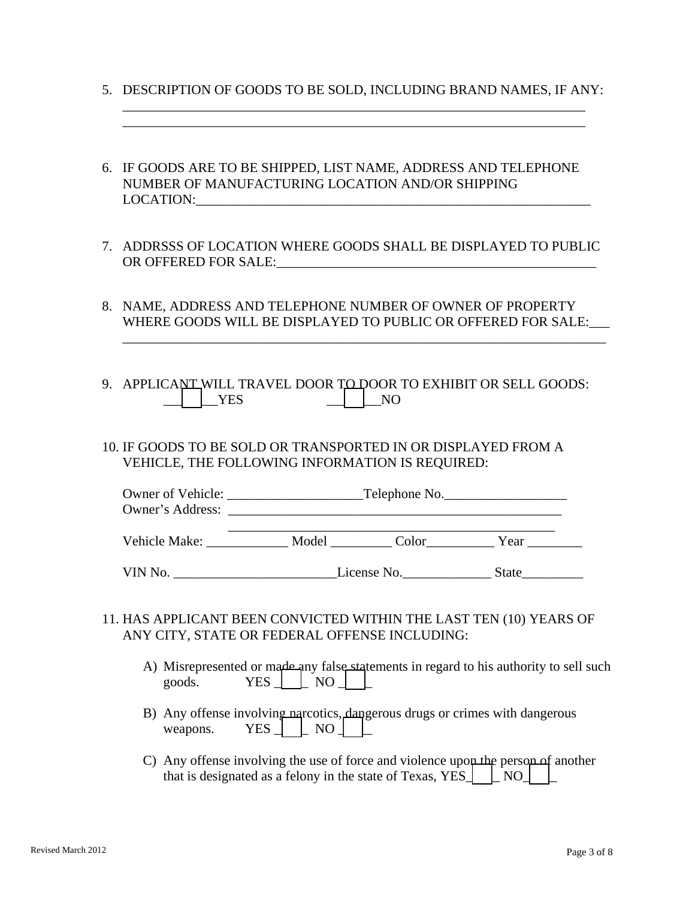5. DESCRIPTION OF GOODS TO BE SOLD, INCLUDING BRAND NAMES, IF ANY:

 \_\_\_\_\_\_\_\_\_\_\_\_\_\_\_\_\_\_\_\_\_\_\_\_\_\_\_\_\_\_\_\_\_\_\_\_\_\_\_\_\_\_\_\_\_\_\_\_\_\_\_\_\_\_\_\_\_\_\_\_\_\_\_\_\_\_\_\_ \_\_\_\_\_\_\_\_\_\_\_\_\_\_\_\_\_\_\_\_\_\_\_\_\_\_\_\_\_\_\_\_\_\_\_\_\_\_\_\_\_\_\_\_\_\_\_\_\_\_\_\_\_\_\_\_\_\_\_\_\_\_\_\_\_\_\_\_

- 6. IF GOODS ARE TO BE SHIPPED, LIST NAME, ADDRESS AND TELEPHONE NUMBER OF MANUFACTURING LOCATION AND/OR SHIPPING LOCATION:
- 7. ADDRSSS OF LOCATION WHERE GOODS SHALL BE DISPLAYED TO PUBLIC OR OFFERED FOR SALE:
- 8. NAME, ADDRESS AND TELEPHONE NUMBER OF OWNER OF PROPERTY WHERE GOODS WILL BE DISPLAYED TO PUBLIC OR OFFERED FOR SALE:

\_\_\_\_\_\_\_\_\_\_\_\_\_\_\_\_\_\_\_\_\_\_\_\_\_\_\_\_\_\_\_\_\_\_\_\_\_\_\_\_\_\_\_\_\_\_\_\_\_\_\_\_\_\_\_\_\_\_\_\_\_\_\_\_\_\_\_\_\_\_\_

- 9. APPLICANT WILL TRAVEL DOOR TO DOOR TO EXHIBIT OR SELL GOODS:  $\Box$   $\Box$   $\Box$  YES  $\Box$   $\Box$  NO
- 10. IF GOODS TO BE SOLD OR TRANSPORTED IN OR DISPLAYED FROM A VEHICLE, THE FOLLOWING INFORMATION IS REQUIRED:

| Owner of Vehicle: |       | Telephone No. |      |
|-------------------|-------|---------------|------|
| Owner's Address:  |       |               |      |
| Vehicle Make:     | Model | Color         | Year |

VIN No. \_\_\_\_\_\_\_\_\_\_\_\_\_\_\_\_\_\_\_\_\_\_\_\_License No.\_\_\_\_\_\_\_\_\_\_\_\_\_ State\_\_\_\_\_\_\_\_\_

- 11. HAS APPLICANT BEEN CONVICTED WITHIN THE LAST TEN (10) YEARS OF ANY CITY, STATE OR FEDERAL OFFENSE INCLUDING:
	- A) Misrepresented or made any false statements in regard to his authority to sell such goods.  $YES \mid \cdot \mid NO \mid \cdot \mid$
	- B) Any offense involving narcotics, dangerous drugs or crimes with dangerous weapons. YES  $\Box$  NO  $\Box$
	- C) Any offense involving the use of force and violence upon the person of another that is designated as a felony in the state of Texas, YES  $\parallel$  NO  $\parallel$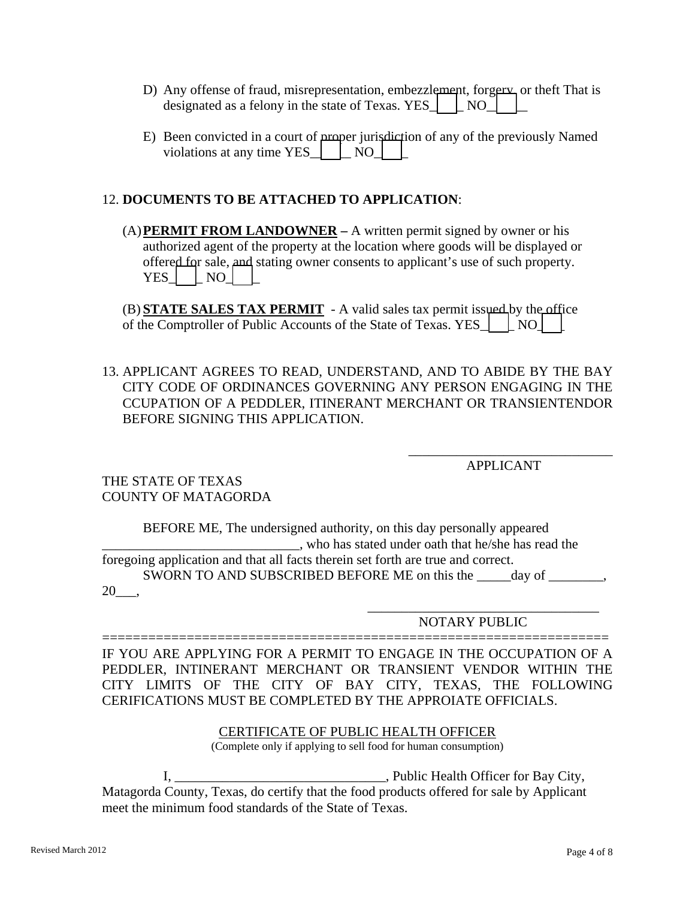- D) Any offense of fraud, misrepresentation, embezzlement, forgery, or theft That is designated as a felony in the state of Texas. YES $\Box$  NO
- E) Been convicted in a court of proper jurisdiction of any of the previously Named violations at any time YES  $\parallel$  NO  $\parallel$

## 12. **DOCUMENTS TO BE ATTACHED TO APPLICATION**:

(A)**PERMIT FROM LANDOWNER –** A written permit signed by owner or his authorized agent of the property at the location where goods will be displayed or offered for sale, and stating owner consents to applicant's use of such property.  $YES$   $\lfloor$  NO  $\rfloor$ 

(B) **STATE SALES TAX PERMIT** - A valid sales tax permit issued by the office of the Comptroller of Public Accounts of the State of Texas. YES\_\_\_\_\_ NO\_\_\_

13. APPLICANT AGREES TO READ, UNDERSTAND, AND TO ABIDE BY THE BAY CITY CODE OF ORDINANCES GOVERNING ANY PERSON ENGAGING IN THE CCUPATION OF A PEDDLER, ITINERANT MERCHANT OR TRANSIENTENDOR BEFORE SIGNING THIS APPLICATION.

 $\overline{\phantom{a}}$  , and the contract of the contract of the contract of the contract of the contract of the contract of the contract of the contract of the contract of the contract of the contract of the contract of the contrac

APPLICANT

THE STATE OF TEXAS COUNTY OF MATAGORDA

 BEFORE ME, The undersigned authority, on this day personally appeared \_\_\_\_\_\_\_\_\_\_\_\_\_\_\_\_\_\_\_\_\_\_\_\_\_\_\_\_\_, who has stated under oath that he/she has read the foregoing application and that all facts therein set forth are true and correct. SWORN TO AND SUBSCRIBED BEFORE ME on this the day of .  $20 \underline{\hspace{1cm}},$ 

 $\frac{1}{\sqrt{2}}$  ,  $\frac{1}{\sqrt{2}}$  ,  $\frac{1}{\sqrt{2}}$  ,  $\frac{1}{\sqrt{2}}$  ,  $\frac{1}{\sqrt{2}}$  ,  $\frac{1}{\sqrt{2}}$  ,  $\frac{1}{\sqrt{2}}$  ,  $\frac{1}{\sqrt{2}}$  ,  $\frac{1}{\sqrt{2}}$  ,  $\frac{1}{\sqrt{2}}$  ,  $\frac{1}{\sqrt{2}}$  ,  $\frac{1}{\sqrt{2}}$  ,  $\frac{1}{\sqrt{2}}$  ,  $\frac{1}{\sqrt{2}}$  ,  $\frac{1}{\sqrt{2}}$ 

NOTARY PUBLIC

================================================================== IF YOU ARE APPLYING FOR A PERMIT TO ENGAGE IN THE OCCUPATION OF A PEDDLER, INTINERANT MERCHANT OR TRANSIENT VENDOR WITHIN THE CITY LIMITS OF THE CITY OF BAY CITY, TEXAS, THE FOLLOWING CERIFICATIONS MUST BE COMPLETED BY THE APPROIATE OFFICIALS.

#### CERTIFICATE OF PUBLIC HEALTH OFFICER

(Complete only if applying to sell food for human consumption)

 I, \_\_\_\_\_\_\_\_\_\_\_\_\_\_\_\_\_\_\_\_\_\_\_\_\_\_\_\_\_\_\_, Public Health Officer for Bay City, Matagorda County, Texas, do certify that the food products offered for sale by Applicant meet the minimum food standards of the State of Texas.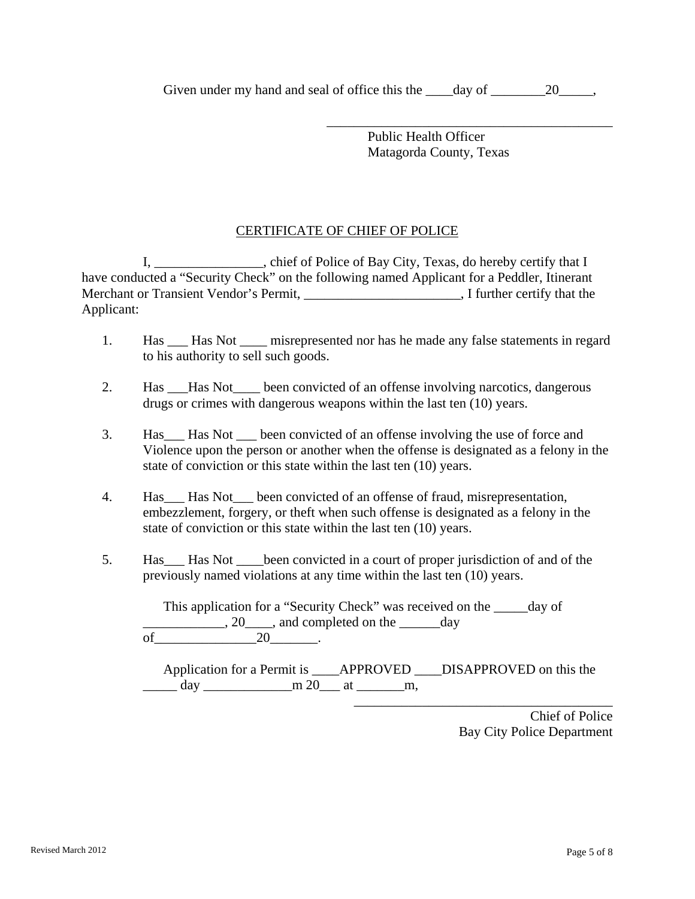Given under my hand and seal of office this the <u>equal</u> of <u>equal</u>,

 $\overline{\phantom{a}}$  , which is a set of the set of the set of the set of the set of the set of the set of the set of the set of the set of the set of the set of the set of the set of the set of the set of the set of the set of th

 Public Health Officer Matagorda County, Texas

## CERTIFICATE OF CHIEF OF POLICE

 I, \_\_\_\_\_\_\_\_\_\_\_\_\_\_\_\_, chief of Police of Bay City, Texas, do hereby certify that I have conducted a "Security Check" on the following named Applicant for a Peddler, Itinerant Merchant or Transient Vendor's Permit, \_\_\_\_\_\_\_\_\_\_\_\_\_\_\_\_\_\_\_\_\_\_\_, I further certify that the Applicant:

- 1. Has \_\_\_ Has Not \_\_\_\_ misrepresented nor has he made any false statements in regard to his authority to sell such goods.
- 2. Has Has Not been convicted of an offense involving narcotics, dangerous drugs or crimes with dangerous weapons within the last ten (10) years.
- 3. Has\_\_\_ Has Not \_\_\_ been convicted of an offense involving the use of force and Violence upon the person or another when the offense is designated as a felony in the state of conviction or this state within the last ten (10) years.
- 4. Has\_\_\_ Has Not\_\_\_ been convicted of an offense of fraud, misrepresentation, embezzlement, forgery, or theft when such offense is designated as a felony in the state of conviction or this state within the last ten (10) years.
- 5. Has\_\_\_ Has Not \_\_\_\_been convicted in a court of proper jurisdiction of and of the previously named violations at any time within the last ten (10) years.

This application for a "Security Check" was received on the day of  $\frac{1}{20}$ , 20  $\frac{1}{20}$ , and completed on the  $\frac{1}{20}$  day of  $20$  .

 Application for a Permit is \_\_\_\_APPROVED \_\_\_\_DISAPPROVED on this the  $\frac{1}{\text{day}}$  day  $\frac{1}{\text{day}}$  m 20  $\frac{1}{\text{day}}$  at  $\frac{1}{\text{day}}$ 

> Chief of Police Bay City Police Department

\_\_\_\_\_\_\_\_\_\_\_\_\_\_\_\_\_\_\_\_\_\_\_\_\_\_\_\_\_\_\_\_\_\_\_\_\_\_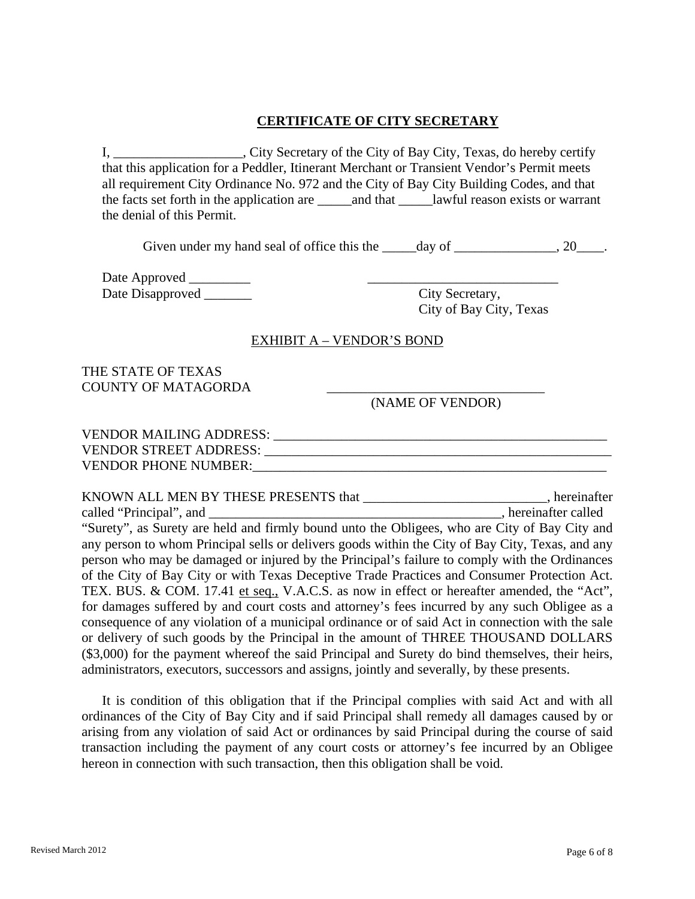## **CERTIFICATE OF CITY SECRETARY**

I, \_\_\_\_\_\_\_\_\_\_\_\_\_\_\_\_\_\_\_, City Secretary of the City of Bay City, Texas, do hereby certify that this application for a Peddler, Itinerant Merchant or Transient Vendor's Permit meets all requirement City Ordinance No. 972 and the City of Bay City Building Codes, and that the facts set forth in the application are \_\_\_\_\_\_\_ and that \_\_\_\_\_\_\_\_ lawful reason exists or warrant the denial of this Permit.

Given under my hand seal of office this the  $\_\_\_\_day$  of  $\_\_\_\_\_\_\_y$ , 20 $\_\_\_\_\$ .

Date Approved \_\_\_\_\_\_\_\_\_ \_\_\_\_\_\_\_\_\_\_\_\_\_\_\_\_\_\_\_\_\_\_\_\_\_\_\_\_ Date Disapproved \_\_\_\_\_\_\_ City Secretary,

City of Bay City, Texas

#### EXHIBIT A – VENDOR'S BOND

### THE STATE OF TEXAS COUNTY OF MATAGORDA

(NAME OF VENDOR)

| <b>VENDOR MAILING ADDRESS:</b> |  |
|--------------------------------|--|
| <b>VENDOR STREET ADDRESS:</b>  |  |
| <b>VENDOR PHONE NUMBER:</b>    |  |

| KNOWN ALL MEN BY THESE PRESENTS that                                                             | , hereinafter        |
|--------------------------------------------------------------------------------------------------|----------------------|
| called "Principal", and                                                                          | , hereinafter called |
| "Surety", as Surety are held and firmly bound unto the Obligees, who are City of Bay City and    |                      |
| any person to whom Principal sells or delivers goods within the City of Bay City, Texas, and any |                      |
| person who may be damaged or injured by the Principal's failure to comply with the Ordinances    |                      |
| of the City of Bay City or with Texas Deceptive Trade Practices and Consumer Protection Act.     |                      |
| TEX. BUS. & COM. 17.41 et seq., V.A.C.S. as now in effect or hereafter amended, the "Act",       |                      |
| for damages suffered by and court costs and attorney's fees incurred by any such Obligee as a    |                      |
| consequence of any violation of a municipal ordinance or of said Act in connection with the sale |                      |
| or delivery of such goods by the Principal in the amount of THREE THOUSAND DOLLARS               |                      |
| (\$3,000) for the payment whereof the said Principal and Surety do bind themselves, their heirs, |                      |
| administrators, executors, successors and assigns, jointly and severally, by these presents.     |                      |

 It is condition of this obligation that if the Principal complies with said Act and with all ordinances of the City of Bay City and if said Principal shall remedy all damages caused by or arising from any violation of said Act or ordinances by said Principal during the course of said transaction including the payment of any court costs or attorney's fee incurred by an Obligee hereon in connection with such transaction, then this obligation shall be void.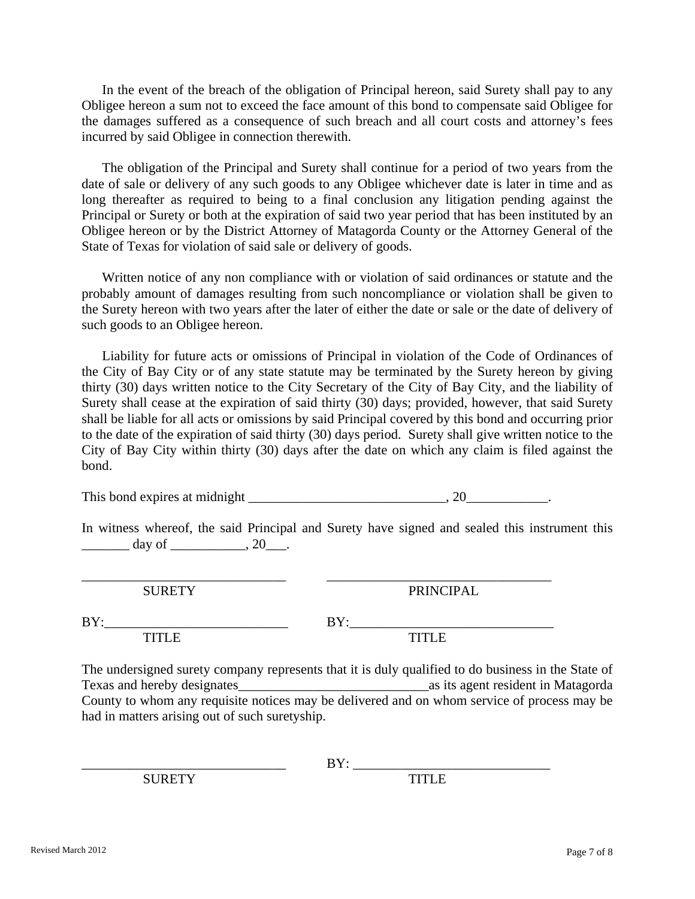In the event of the breach of the obligation of Principal hereon, said Surety shall pay to any Obligee hereon a sum not to exceed the face amount of this bond to compensate said Obligee for the damages suffered as a consequence of such breach and all court costs and attorney's fees incurred by said Obligee in connection therewith.

 The obligation of the Principal and Surety shall continue for a period of two years from the date of sale or delivery of any such goods to any Obligee whichever date is later in time and as long thereafter as required to being to a final conclusion any litigation pending against the Principal or Surety or both at the expiration of said two year period that has been instituted by an Obligee hereon or by the District Attorney of Matagorda County or the Attorney General of the State of Texas for violation of said sale or delivery of goods.

 Written notice of any non compliance with or violation of said ordinances or statute and the probably amount of damages resulting from such noncompliance or violation shall be given to the Surety hereon with two years after the later of either the date or sale or the date of delivery of such goods to an Obligee hereon.

 Liability for future acts or omissions of Principal in violation of the Code of Ordinances of the City of Bay City or of any state statute may be terminated by the Surety hereon by giving thirty (30) days written notice to the City Secretary of the City of Bay City, and the liability of Surety shall cease at the expiration of said thirty (30) days; provided, however, that said Surety shall be liable for all acts or omissions by said Principal covered by this bond and occurring prior to the date of the expiration of said thirty (30) days period. Surety shall give written notice to the City of Bay City within thirty (30) days after the date on which any claim is filed against the bond.

This bond expires at midnight \_\_\_\_\_\_\_\_\_\_\_\_\_\_\_\_\_\_\_\_\_\_\_\_\_\_\_\_\_, 20\_\_\_\_\_\_\_\_\_\_\_\_.

\_\_\_\_\_\_\_\_\_\_\_\_\_\_\_\_\_\_\_\_\_\_\_\_\_\_\_\_\_\_ \_\_\_\_\_\_\_\_\_\_\_\_\_\_\_\_\_\_\_\_\_\_\_\_\_\_\_\_\_\_\_\_\_

In witness whereof, the said Principal and Surety have signed and sealed this instrument this  $\text{day of}$   $\qquad \qquad , 20$ 

SURETY PRINCIPAL

BY:\_\_\_\_\_\_\_\_\_\_\_\_\_\_\_\_\_\_\_\_\_\_\_\_\_\_\_ BY:\_\_\_\_\_\_\_\_\_\_\_\_\_\_\_\_\_\_\_\_\_\_\_\_\_\_\_\_\_\_ TITLE TITLE The undersigned surety company represents that it is duly qualified to do business in the State of Texas and hereby designates as its agent resident in Matagorda County to whom any requisite notices may be delivered and on whom service of process may be

had in matters arising out of such suretyship.

SURETY TITLE

 $BY:$